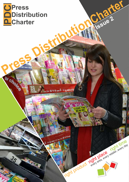# **UPress Distribution Charter**

ay chone

კ

a cost **to 6 th** une

Ø,

Charter

right product right place relation allows and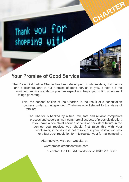



CHARTER

## **Your Promise of Good Service**

The Press Distribution Charter has been developed by wholesalers, distributors and publishers, and is our promise of good service to you. It sets out the minimum service standards you can expect and helps you to find solutions if things go wrong.

This, the second edition of the Charter, is the result of a consultation process under an independent Chairman who listened to the views of retailers.

The Charter is backed by a free, fair, fast and reliable complaints process and covers all non-commercial aspects of press distribution. If you have a complaint about a serious or persistent failure in the service you receive, you should first raise this with your wholesaler; if the issue is not resolved to your satisfaction; ask for a fast track resolution form to register your formal complaint.

Alternatively, visit our website at

www.pressdistributionforum.com

or contact the PDF Administrator on 0843 289 3967

 $\overline{2}$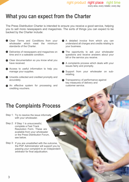# **What you can expect from the Charter**

The Press Distribution Charter is intended to ensure you receive a good service, helping you to sell more newspapers and magazines. The sorts of things you can expect to be backed by the Charter include:

- Clear Terms and Conditions from your wholesaler which meet the minimum standards of the Charter.
- Deliveries of newspapers and magazines on time and in a saleable condition.
- Clear documentation so you know what you have received.
- Access to useful information to help you manage your supplies.
- Unsolds collected and credited promptly and accurately.
- An effective system for processing and crediting vouchers.
- A detailed invoice from which you can understand all charges and credits relating to your business.
- **The opportunity to ask your wholesaler** questions and receive answers about your bill or the service you receive.
- A complaints process which deals with your issues fairly and promptly.
- Support from your wholesaler on subretailing.
- Transparency of performance against key measures of delivery and customer service.

# **The Complaints Process**

- Step 1: Try to resolve the issue informally with your wholesaler.
- Step 2: If Step 1 is unsuccessful, complete a Fast Track Resolution Form. These are available from your wholesaler or the Press Distribution Forum, see below.
- Step 3: If you are unsatisfied with the outcome, the PDF Administrator will support you by passing your complaint to an independent arbitrator for final adjudication.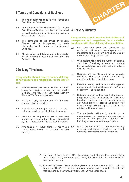## **1 Terms and Conditions of Business**

- The wholesaler will issue its own Terms and Conditions of Business. 1.1
- Any changes to the wholesaler's Terms and Conditions of Business will be communicated to retail customers in writing, giving not less than six weeks' notice. 1.2
- The standards of the Press Distribution Charter will be incorporated by each wholesaler into its Terms and Conditions of Business. 1.3
- All information and data belonging to a retailer will be handled in accordance with the Data Protection Act. 1.4

## **2 Delivery Timeliness**

**Every retailer should receive on time delivery of newspapers and magazines, for the day of sale.**

- The wholesaler will deliver all titles and their appropriate sections, no later than the Retailer Delivery Time (RDT), or Scheduled Delivery Time (SDT), for the day of sale. 2.1
- RDT's will only be amended with the prior agreement of the retailer. 2.2
- If a wholesaler changes an SDT, he must notify the retailer at least 14 days in advance. 2.3
- Retailers will be given access to their own information regarding their delivery times held by their wholesaler for the previous 6 months.  $24$
- Wholesalers will have plans for minimising 3.7 overall sales losses in the event of late running. 2.5



## **3 Delivery Quantity**

**Every retailer should receive their delivery of newspapers and magazines, in a saleable condition, with clear delivery documentation.**

- 3.1 On each day titles are published the wholesaler will supply newspapers and/or magazines to the retailer's invoice address, or other mutually agreed address.
- 3.2 Wholesalers will record the number of parcels and time of delivery in order to produce traceable delivery information in the event of a delivery dispute.
- 3.3 Supplies will be delivered in a saleable condition with each parcel identified by quantity and title on the delivery note.
- 3.4 Retailers are advised to report shortages of newspapers to their wholesaler within 2 hours of delivery or shop opening.
- 3.5 Retailers are advised to report shortages of magazines to their wholesalers by 3.00pm on the day of delivery. For retailers undertaking automated claims processes the deadline for claims receipt will be agreed between the retailer and the wholesaler.
- 3.6 The wholesaler will clearly identify on its documentation all supplements and inserts notified by the publisher, together with handling allowances, where appropriate.
- When the wholesaler is short supplied, any necessary reduction in a retailer's supplies will be made to reflect the retailer's net sale.

- The Retail Delivery Time (RDT) is the time agreed by the wholesaler and retailer (1) as the latest time by which it is operationally feasible for the retailer to receive his newspaper delivery.
- (2) A Schedule Delivery Time (SDT) is given to a retailer where an RDT could not be agreed. The SDT is the time by which the wholesaler is able to deliver to the retailer, based on current arrival times to the wholesale house.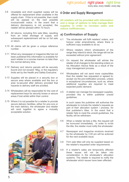- 3.8 Unsalable and short supplied copies will be offered for replacement when available in the supply chain. If this is not possible, then credit will be passed on the next possible invoice/credit notice. In the event that a delivery discrepancy is not accepted, the retailer will be advised within 72 hours.
- 3.9 All returns, including firm sale titles, resulting from an initial shortage of supply and subsequent replenishment will be on full sale or return.
- 3.10 All claims will be given a unique reference number.
- 3.11 When any newspaper or magazine title has not been published this information is available for each retailer in a concise manner no later than the normal delivery time.
- 3.12 Delivery and returns parcels will be securely bound and not exceed 18kg, or the regulatory limits set by the Health and Safety Executive.
- 3.13 Supplies will be placed in a security box or secure area where available and the box or area re-secured after delivery provided that hazards to delivery staff are avoided.
- 3.14 Wholesalers will be responsible for the cost of replacement keys for security boxes or secure areas if lost whilst within their control.
- 3.15 Where it is not possible for a retailer to provide secure delivery facilities, either for pre-runs or the main delivery, the wholesaler and retailer will work together to agree a mutually acceptable solution.



#### **4 Order and Supply Management**

**All retailers will be provided with information and a range of options to help manage their supplies in order to increase sales and reduce inefficiencies.**

#### **a) Confirmation of Supply**

- The wholesaler will fulfil retailers' orders, and honour order amendments, where there is sufficient copy available to do so. 4.1
- Where retailers inform wholesalers of the range they intend to stock, the range will not be exceeded without prior agreement. 4.2
- On request the wholesaler will advise the retailer of all changes to the standing orders on his Allocation Advice Note as a result of the copy management process. 4.3
- Wholesalers will not send more copies/titles than the retailer has requested or agreed to; accept via the pre-notification process, unless in exceptional circumstances, such as, where additional supplies are required to meet expected public demand. 4.4
- A retailer can manage his newspaper supplies, provided this is within publisher unsold guidelines. 4.5

In such cases the publisher will authorise the wholesaler to include the retailer's requests as part of their allocation system / process, for that publisher's titles. In the event that a retailer fails to meet the unsold guidelines, the facility will be withdrawn.

- When a retailer de-lists a title, the request will be honoured immediately. In order to re-list the title, the retailer must notify the wholesaler. 4.6
- Newspaper and magazine revisions received by the wholesaler by 3.00 pm will be actioned for the next available issue. 4.7
- Firm sale titles will only be supplied based on the retailer's requested order requirements. 4.8
- If a retailer's sales are temporarily affected these issues will not be taken into consideration in the wholesaler's allocation systems. The retailer is required to notify the wholesaler which issues have been affected. 4.9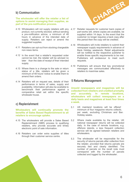## **b) Communication**

#### **The wholesaler will offer the retailer a list of options to assist managing their supplies, as part of the pre-notification process.**

- 4.10 Wholesalers will not supply retailers with any 4.17 product, not currently stocked, without sending a pre-notification advice, a minimum of 48 hours in advance of the intended date of supply. Retailers can reject or amend the suggested supplies.
- 4.11 Retailers can opt-out from stocking chargeable non-news items.
- 4.12 In the event that a retailer's requested order cannot be met, the retailer will be advised no later than the date of receipt of their intended supply.
- Where there is a change to the sale or return 4.13 status of a title, retailers will be given a minimum of 48 hours' notice to enable them to amend their orders.
- 4.14 Retailers will on request see, details of their performance in terms of sales, supply and availability. Information will also be available to benchmark their performance against a comparative retail set within the specific wholesale house.

## **c) Replenishment**

**Wholesalers will continually promote the benefits of Sales Based Replenishment to all retailers to encourage uptake.**

- 4.15 The wholesalers will provide a Sales Based 5.2 Replenishment (SBR) process to qualifying retailers, who provide accurate and timely electronic point of sale information.
- 4.16 Retailers can order extra supplies of titles through their customer service centre.



- Retailer requests for customer back copies of part-works will, where copies are available, be supplied within 14 days. In the event that the customer no longer requires a back copy after this period then the copy will be credited.
- Wholesalers will invite retailers to submit their 4.18 newspaper supply requirements in advance of Bank Holiday weekends. Retail adjustments will be notified to the respective publisher to enable those specific requirements to be met. Publishers will endeavour to meet such requests
- 4.19 Publishers will ensure that key promotional messages are communicated effectively to retailers to maximise sales.

#### **5 Returns Management**

**Unsold newspapers and magazines will be collected from retailers and credited promptly and accurately. In remote locations, wholesalers will collect newspapers on a daily basis and magazines at least four times a week.**

- UK mainland locations will be offered minimum of four magazine returns collections per week, excluding Christmas and Ban. Holiday weeks. 5.1
- Where made available by the retailer, UK national newspaper returns will be collected daily. In the case of remote locations, e.g. offshore islands, a less frequent collection service will be agreed between retailers and wholesalers.
- The wholesaler will be responsible for the security of returns parcels after collection from the retailer, provided that returns parcels are securely tied and clearly identified. The number of parcels on the recall note must correspond with the number of parcels collected and logged by the wholesaler. 5.3

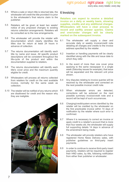- 5.4 Where a sale or return title is returned late, the wholesaler will credit the title provided it is prior to the wholesaler's final returns claim to the publisher.
- 5.5 Retailers will be given at least two weeks' notice of any proposed changes to existing returns collection arrangements. Retailers will be consulted as to the new arrangements.
- 5.6 The wholesaler will provide the retailer with documentation which clearly identifies the titles due for return at least 24 hours in advance of collection.
- 5.7 The returns documentation will identify each title by name and issue. All specific product descriptions will be consistent throughout the life-cycle of the product and within the documentation supplied to retailers.
- 5.8 The returns documentation will identify each title's cover price and the maximum quantity eligible for credit.
- 5.9 6.4 Wholesalers will process all returns collected from retailers for credit on the next available invoice, normally for the same week as collection.
- 5.10 The retailer will be notified of any returns which 6.5 are disallowed for credit and the reason why they are ineligible.



#### **6 Invoicing**

**Retailers can expect to receive a detailed invoice on a daily or weekly basis, showing supplies, credits and any additional charges. Wholesalers will have a clear process to record and swiftly answer queries. Claims and over/under charges will be clearly marked on the subsequent invoice.**

- The wholesaler will supply a clear and accurate daily or weekly invoice/credit note detailing all charges and credits to the invoice address specified by the retailer. 6.1
- Insertion or handling payments will be clearly identified along with the title and issue date to which they refer. 6.2
- In the event of more than one cover price applying to the same newspaper in a single week (Saturday issues for example), that issue will be separated and the relevant unit price shown. 6.3
	- Any disputes relating to invoice queries will be resolved by the wholesaler and corrected on the next possible invoice/ credit note.
	- When wholesaler errors are detected. corrections will be actioned on the next possible summary invoice/credit note and a record will be kept of such occurrences.
- Charging/credit/system errors identified by the retailer will be credited by the wholesaler on the first practicable invoice within 14 days of notification by the retailer where such error is confirmed. 6.6
- Where it is necessary to correct an invoice or apply credit to a retailer's account that is more than four weeks old, the wholesaler will supply full supporting details 14 days in advance of the amendment being made. 6.7
- The wholesaler will provide retailers who have registered Home News Delivery sales, with publisher guidelines on third-party insert payments. 6.8
- In order to continue to receive third-party insert payments, retailers will be required to register their HND sales, by title, following notification from either their publisher or wholesaler. 6.9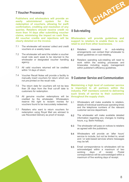## **7 Voucher Processing**

**Publishers and wholesalers will provide an easily administered system for the redemption of vouchers, allowing for swift confirmation, crediting and resolution of any queries. Retailers should receive credit no more than 14 days after submitting voucher claims, minimising the impact on cash flow. All voucher credits and rejections will be clearly detailed on the invoice.**

- The wholesaler will receive/ collect and credit vouchers on a weekly basis. 7.1
- 7.2 The wholesaler will send the retailer a voucher recall note each week to be returned to the wholesaler or designated voucher handling 8.2agency.
- 7.3 All valid vouchers returned will be credited within 14 days of return.
- 7.4 Voucher Recall Notes will provide a facility to manually insert vouchers for return which are not pre-printed on the recall note.
- The return date for vouchers will not be less than 28 days from the final cut-off date to customers for redemption. 7.5
- 7.6 All genuine voucher redemptions will be credited by the wholesaler. Wholesalers reserve the right to reclaim monies for vouchers found to be inaccurately redeemed.
- Retailers who want to return vouchers for redemption using Royal Mail are advised to use Recorded Delivery as proof of receipt. 7.7



### **8 Sub-retailing**

**Wholesalers will provide guidelines and support to retailers to enable them to subretail to and from other businesses.**

- Retailers interested in sub-retailing arrangements can contact their wholesaler to obtain guidelines on sub-retailing. 8.1
- Retailers operating sub-retailing will need to work within the existing processes and timescales including supply management within publisher's efficiency quidelines.

#### **9 Customer Service and Communication**

**Maintaining a high level of customer service is important to all partners within the industry. PDF members commit to delivering such levels of service to their customers throughout the supply chain.**

- Wholesalers will make available to retailers. details of individual warehouse operating times and the telephone numbers of the relevant customer service department. 9.1
- The wholesaler will make available detailed information regarding any changes to trading hours, e.g. Bank Holidays. 9.2
- The wholesaler will pass on notices to retailers as agreed with the publishers. 9.3
- Wholesalers will provide an 'after hours' service to include, but not be limited to, email and / or web-based services where messages may be left. 9.4
- Email correspondence to wholesalers will be acknowledged within a maximum of two receipt. correspondence will be acknowledged within a maximum of five working days of receipt. 9.5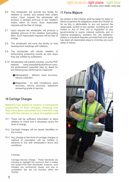every area, every retailer, every day

- 9.6 The wholesaler will provide the facility for retailers to review and amend their orders online. Upon request the wholesaler will produce a detailed print-out of any retailers' orders within 24 hours. Such reasonable requests will be free of charge.
- 9.7 Upon request the wholesaler will produce a detailed print-out of the retailers' best-selling titles. Such reasonable requests will be free of charge.
- 9.8 The wholesaler will have the facility to hold development meetings with retailers.
- 9.9 The wholesaler will advise retailers of forthcoming publishing events as and when they are notified by publishers.
- 9.10 Wholesalers will publish monthly, (via the PDF website, www.pressdistributionforum.com), the achievement (pass/fail rate) by depot for the following key performance measures:
	- Newspapers delivery, pack accuracy, returns collection.
	- Magazines on sale compliance, pack accuracy, returns accuracy, telephone answering grade of service.

## **10 Carriage Charges**

#### **Retailers can expect to receive a transparent explanation of their charges, showing how they have been calculated and how this may vary with the volume or value of supplies sold**

- 10.1 There will be sufficient information to allow retailers to check and if necessary query the level of charge.
- 10.2 Carriage charges will be clearly identified on the invoice.
- 10.3 Any change to the level of carriage charges or method of calculation will be notified in advance in line with wholesaler's terms and conditions.

#### Footnote:

Carriage Service Charge - These standards are included to highlight the minimum that a retailer can expect from their wholesaler; however, such charges are commercial issues and due to competition law are not included within the Charter.

## **11 Force Majeure**

No parties in this Charter shall be liable for delay or failure to perform its obligations under the Charter so far as this is attributable to any act beyond the reasonable control of any parties, including but not limited to Act of God, act or regulation or any governmental or supra- national authority, war or national emergency, accident, fire, riot, epidemic, strikes or industrial disputes provided that such party has taken all reasonable steps to minimise any such delay or failure.

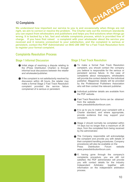### **12 Complaints**

CHARTER

**We understand how important our service to you is and occasionally when things are not right, we aim to correct or resolve the problem. The Charter sets out the minimum standards you can expect from wholesalers and publishers and helps you find solutions when things go wrong. It is backed by a fair, fast and reliable complaints process, which is provided free of charge. If you have first raised a complaint with your wholesaler about the service you received and it remains unresolved to your satisfaction, and the complaint is serious or persistent, contact the PDF Administrator on 0843 289 3967 for a Fast Track Resolution form to register your formal complaint.**

### **Complaints Resolution Process**

#### **Stage 1 Informal Discussion**

- Initial stage of resolving a dispute relating to the (Press Distribution Charter) is through informal local discussions between the retailer and wholesaler/publisher.
- $\bullet$  If the complaint is not satisfactorily resolved by discussion within 48 hours, the retailer may make a formal Stage 2 Fast Track Resolution complaint provided the service failure complained of is serious or persistent.

#### **Stage 2 Fast Track Resolution**

- $\bullet$  To make a formal Fast Track Resolution complaint, you should contact the company you believe is responsible for the serious or persistent service failure. In the case of complaints about newspapers, wholesalers will provide the contact details for the individual publisher. Magazines details will be provided by the Professional Publishers Association who will then contact the relevant publisher.
- Individual publisher details are available from the PDF website.
- **Fast Track Resolution forms can be obtained** from the website www.pressdistributionforum.com.
- It is up to you to match your complaint with a Charter standard, and where appropriate, provide evidence that may support your complaint.
- Stage 2 should normally be completed within 14 days but no longer than a maximum of 28 days, from the completed form being received by the administrator.
- **The Company responsible will acknowledge** the complaint and provide you with details of their complaint handling procedures. Company procedures will also be available on the<br>Press Distribution Forum website **Distribution** www.pressdistributionforum.com.
- If, having gone through the company's complaints procedure, you are still not satisfied, the PDF administrator will provide you with contact details for the industry Independent Arbitrator, together with information on the independent arbitration process.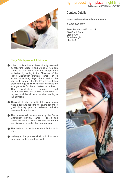

## right product right place right time

every area, every retailer, every day

## **Contact Details**

E: admin@pressdistributionforum.com

T: 0843 289 3967

Press Distribution Forum Ltd 67A South Street **Stanground** Peterborough PE2 8EX

#### **Stage 3 Independent Arbitration**

If the complaint has not been directly resolved by following Stage 1 and Stage 2, you can choose to refer the complaint to independent arbitration by writing to the Chairman of the Press Distribution Review Panel (PDRP) within 28 working days of the end of the wholesaler or publisher Fast Track Resolution process (Stage 2). The Chairman will make the arrangements for the arbitration to be heard.<br>The Arbitrator's decision and Arbitrator's recommendations will be concluded within 14 days of receipt of all the information relating to the complaint.

The Arbitrator shall base his determinations on what is fair and reasonable having regard to good industry practice, relevant industry agreements and the law.

The process will be overseen by the Press<br>Distribution Review Panel (PDRP) and Distribution Review Panel published on the Press Distribution Forum website www.pressdistributionforum.com

The decision of the Independent Arbitrator is final.

Nothing in this process shall prohibit a party from applying to a court for relief.